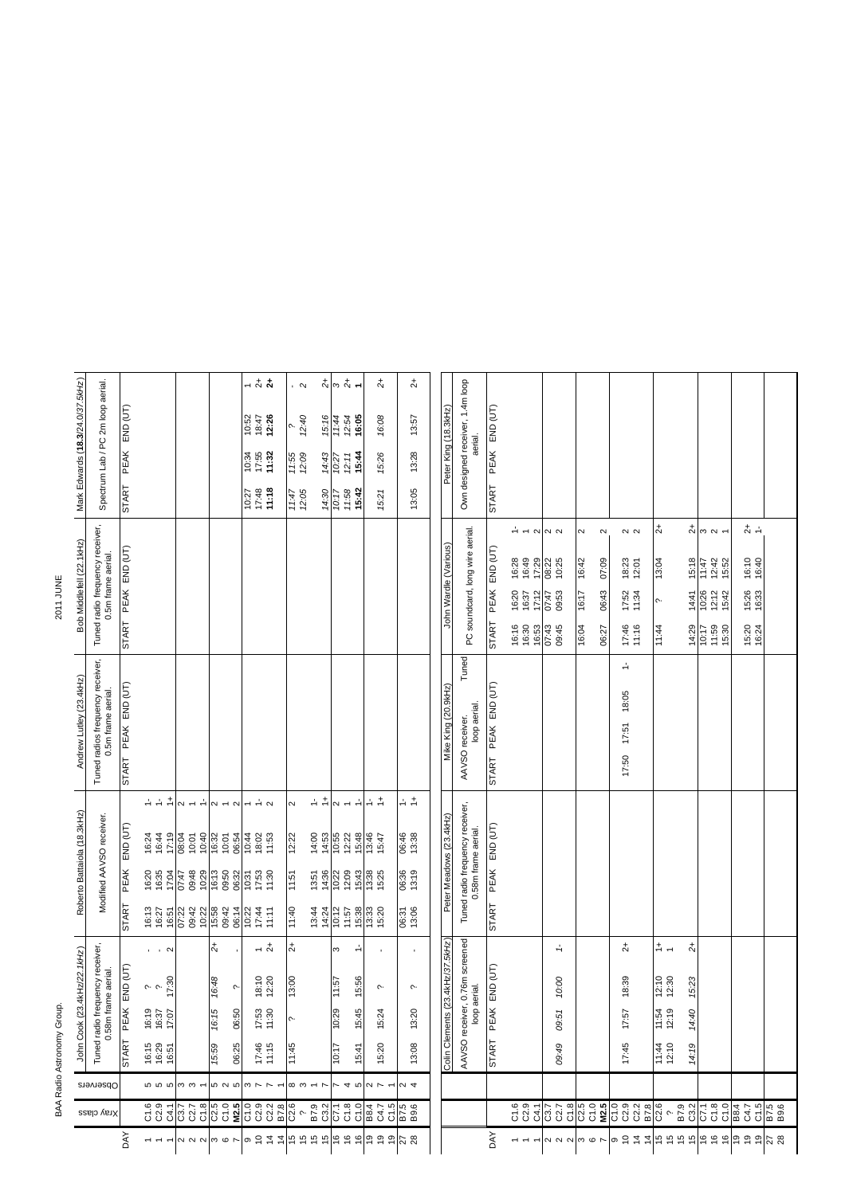## BAA Radio Astronomy Group. 2011 JUNE BAA Radio Astronomy Group.

2011 JUNE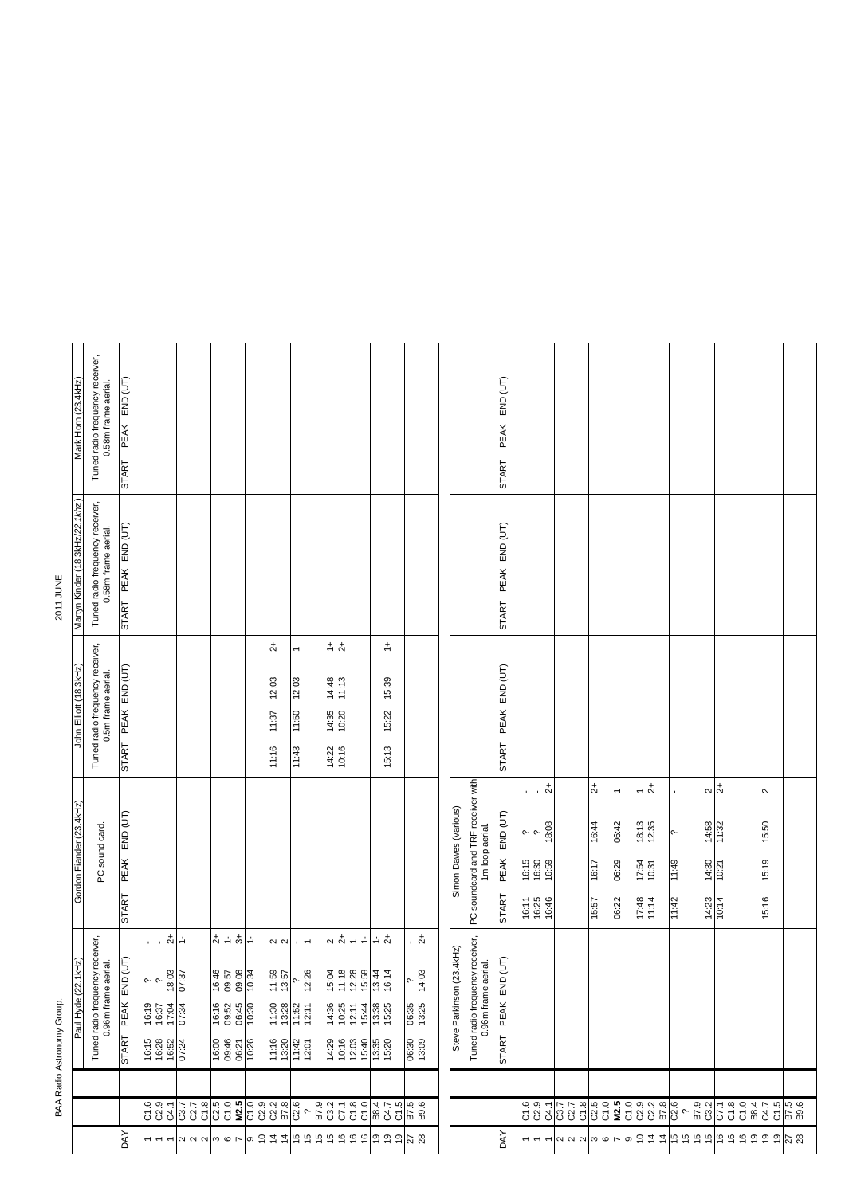BAA Radio Astronomy Group.

2011 JUNE

| Mark Horn (23.4kHz)        |                                 | Tuned radio frequency receiver,<br>0.58m frame aerial.      |                                  |                                                                                                                               |                                          |                                                                                                                 |                                  |                                                                                                                                                                                                                                                                                                                                                                                                |                         |                                                                                                                                       |                                                                          |                                                        |                                                                  |                                |                                                        |                               |                                                                                                                            |                                                                                                  |                                                                                |                          |                                               |                         |                                   |               |
|----------------------------|---------------------------------|-------------------------------------------------------------|----------------------------------|-------------------------------------------------------------------------------------------------------------------------------|------------------------------------------|-----------------------------------------------------------------------------------------------------------------|----------------------------------|------------------------------------------------------------------------------------------------------------------------------------------------------------------------------------------------------------------------------------------------------------------------------------------------------------------------------------------------------------------------------------------------|-------------------------|---------------------------------------------------------------------------------------------------------------------------------------|--------------------------------------------------------------------------|--------------------------------------------------------|------------------------------------------------------------------|--------------------------------|--------------------------------------------------------|-------------------------------|----------------------------------------------------------------------------------------------------------------------------|--------------------------------------------------------------------------------------------------|--------------------------------------------------------------------------------|--------------------------|-----------------------------------------------|-------------------------|-----------------------------------|---------------|
|                            |                                 |                                                             | START PEAK END (UT)              |                                                                                                                               |                                          |                                                                                                                 |                                  |                                                                                                                                                                                                                                                                                                                                                                                                |                         |                                                                                                                                       |                                                                          |                                                        |                                                                  |                                |                                                        | START PEAK END (UT)           |                                                                                                                            |                                                                                                  |                                                                                |                          |                                               |                         |                                   |               |
| 2011 JUNE                  | Martyn Kinder (18.3kHz/22.1khz) | Tuned radio frequency receiver,<br>0.58m frame aerial.      | START PEAK END (UT)              |                                                                                                                               |                                          |                                                                                                                 |                                  |                                                                                                                                                                                                                                                                                                                                                                                                |                         |                                                                                                                                       |                                                                          |                                                        |                                                                  |                                |                                                        | START PEAK END (UT)           |                                                                                                                            |                                                                                                  |                                                                                |                          |                                               |                         |                                   |               |
|                            | John Elliott (18.3kHz)          | Tuned radio frequency receiver,<br>0.5m frame aerial.       | START PEAK END (UT)              |                                                                                                                               |                                          |                                                                                                                 |                                  | $\stackrel{+}{\sim}$<br>12:03<br>11:37<br>11:16                                                                                                                                                                                                                                                                                                                                                | 12:03<br>11:50<br>11:43 | $rac{+}{2}$<br>$\frac{14:48}{11:13}$<br>$\frac{14:35}{10:20}$<br>$\frac{14:22}{10:16}$                                                |                                                                          | $\stackrel{+}{\rightarrow}$<br>15:39<br>15:22<br>15:13 |                                                                  |                                |                                                        | START PEAK END (UT)           |                                                                                                                            |                                                                                                  |                                                                                |                          |                                               |                         |                                   |               |
|                            | Gordon Fiander (23.4kHz)        | PC sound card.                                              | PEAK END (UT)<br><b>START</b>    |                                                                                                                               |                                          |                                                                                                                 |                                  |                                                                                                                                                                                                                                                                                                                                                                                                |                         |                                                                                                                                       |                                                                          |                                                        |                                                                  | Simon Dawes (various)          | PC soundcard and TRF receiver with<br>1m loop aerial.  | $END$ $(UT)$<br>PEAK<br>START | $\cdot$ $\cdot$ $\stackrel{+}{\sim}$<br>18:08<br>$\sim$ $\sim$<br>$16:30$<br>$16:30$<br>$16:59$<br>16:25<br>16:46<br>16:11 | $\overline{c}$<br>$\overline{\phantom{a}}$<br>06:42<br>16:44<br>06:29<br>16:17<br>06:22<br>15:57 | $-1$ $\frac{1}{2}$<br>$18:13$<br>$12:35$<br>17:54<br>10:31<br>$17:48$<br>11:14 | $\sim$<br>11:49<br>11:42 | $\sim \frac{1}{2}$<br>14:58<br>14:30<br>14:23 | 11:32<br>10:21<br>10:14 | $\sim$<br>15:50<br>15:19<br>15:16 |               |
| BAA Radio Astronomy Group. | Paul Hyde (22.1kHz)             | Tuned radio frequency receiver,<br>riai.<br>0.96m frame aer | (UT)<br>PEAK END<br><b>START</b> | $\overline{a}$<br>$\sim$ $\sim$<br>16:19<br>16:37<br>17:04<br>$\begin{array}{r} 16.15 \\ 16.28 \\ 16.52 \\ 07.24 \end{array}$ | $\div$<br>$\frac{18.03}{07.37}$<br>07:34 | $rac{1}{2} + \frac{1}{2} + \frac{1}{2}$<br>16:46<br>09:57<br>16:16<br>09:52<br>06:45<br>16:00<br>09:46<br>06:21 | 09:08<br>10:34<br>10:30<br>10:26 | $\sim \sim$<br>11:59<br>13:57<br>$\begin{array}{c} 1.30 \\ 1.30 \\ 1.30 \\ 1.30 \\ 1.30 \\ 1.30 \\ 1.30 \\ 1.30 \\ 1.30 \\ 1.30 \\ 1.30 \\ 1.30 \\ 1.30 \\ 1.30 \\ 1.30 \\ 1.30 \\ 1.30 \\ 1.30 \\ 1.30 \\ 1.30 \\ 1.30 \\ 1.30 \\ 1.30 \\ 1.30 \\ 1.30 \\ 1.30 \\ 1.30 \\ 1.30 \\ 1.30 \\ 1.30 \\ 1.30 \\ 1.30 \\ 1.30 \\ 1.30 \\ 1.30 \\ 1.$<br>$\frac{11:16}{1:20}$<br>$\frac{13:20}{1:42}$ | $\sim$<br>12:26<br>ς.   | $\alpha + 1$<br>$15:04$<br>$11:18$<br>14:36<br>10:25<br>12:11<br>15:44<br>$489$<br>$469$<br>$469$<br>$469$<br>$469$<br>$469$<br>$469$ | $\frac{16}{13}$<br>$\frac{16}{13}$<br>$\frac{16}{14}$<br>$\frac{16}{14}$ | $\frac{1}{2}$ $\frac{1}{2}$<br>13:38<br>15:25          | $\frac{1}{2}$<br>14:03<br>ç.<br>06:35<br>13:25<br>06:30<br>13:09 | 3.4kHz)<br>Steve Parkinson (23 | Tuned radio frequency receiver,<br>0.96m frame aerial. | E<br>PEAK END<br>START        |                                                                                                                            |                                                                                                  |                                                                                |                          |                                               |                         |                                   |               |
|                            |                                 |                                                             |                                  |                                                                                                                               | C1.8<br>C3.7<br>C2.7                     |                                                                                                                 |                                  |                                                                                                                                                                                                                                                                                                                                                                                                |                         |                                                                                                                                       |                                                                          |                                                        |                                                                  |                                |                                                        |                               | $\begin{array}{c} 1.6 \\ 0.3 \\ 0.4 \\ 0.7 \\ 0.7 \\ 0.8 \\ 0.8 \\ \hline \end{array}$                                     |                                                                                                  |                                                                                |                          |                                               |                         |                                   |               |
|                            |                                 |                                                             | <b>DAY</b>                       | $\overline{\phantom{m}}$<br>$\overline{ }$                                                                                    | 222                                      | $\omega$ $\sim$                                                                                                 |                                  | စင် $\tilde{z}$ န် ကြံ ကို ကို ကြို ကို ကို                                                                                                                                                                                                                                                                                                                                                    |                         |                                                                                                                                       |                                                                          | 999                                                    | $\frac{2}{2}$                                                    |                                |                                                        | DAY                           | $\overline{\phantom{a}}$<br>$\overline{\phantom{0}}$                                                                       |                                                                                                  |                                                                                |                          |                                               | $\frac{6}{5}$           | 67<br>$\frac{6}{5}$               | $\frac{2}{2}$ |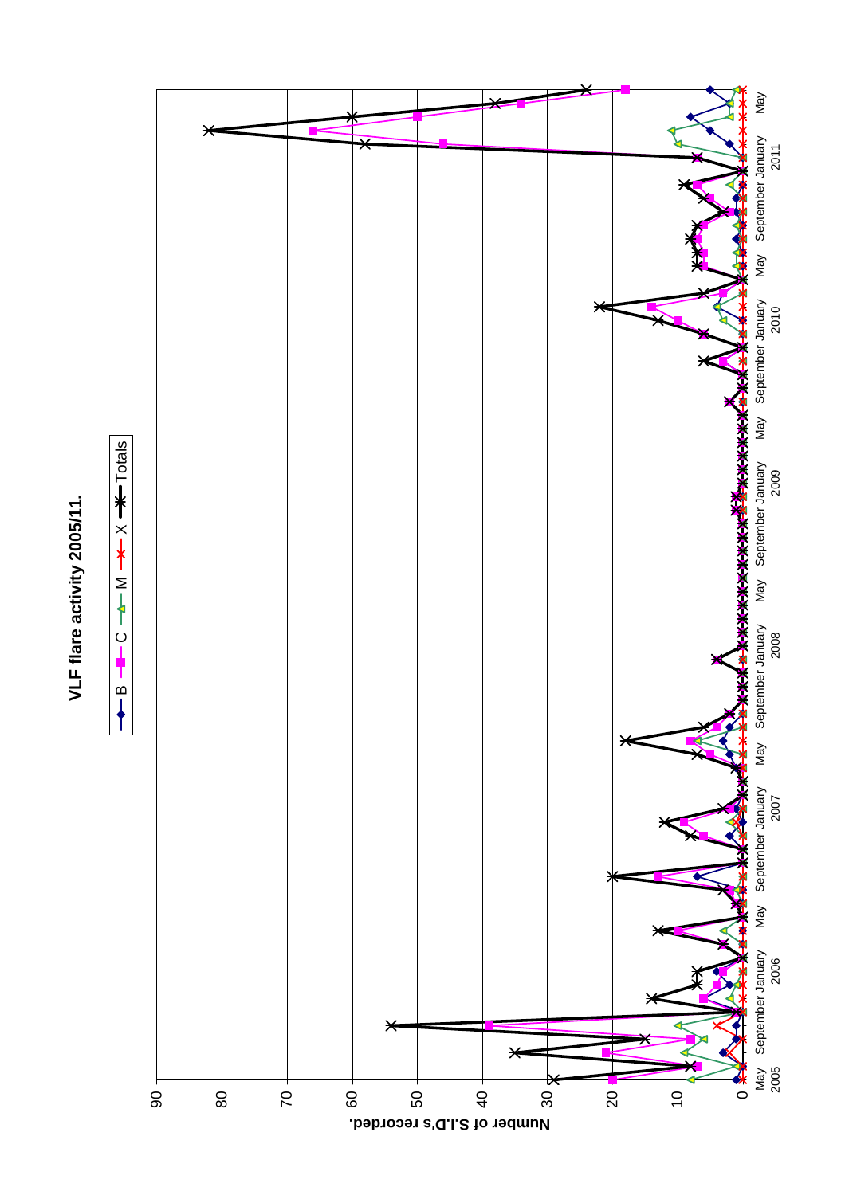## VLF flare activity 2005/11. **VLF flare activity 2005/11.**



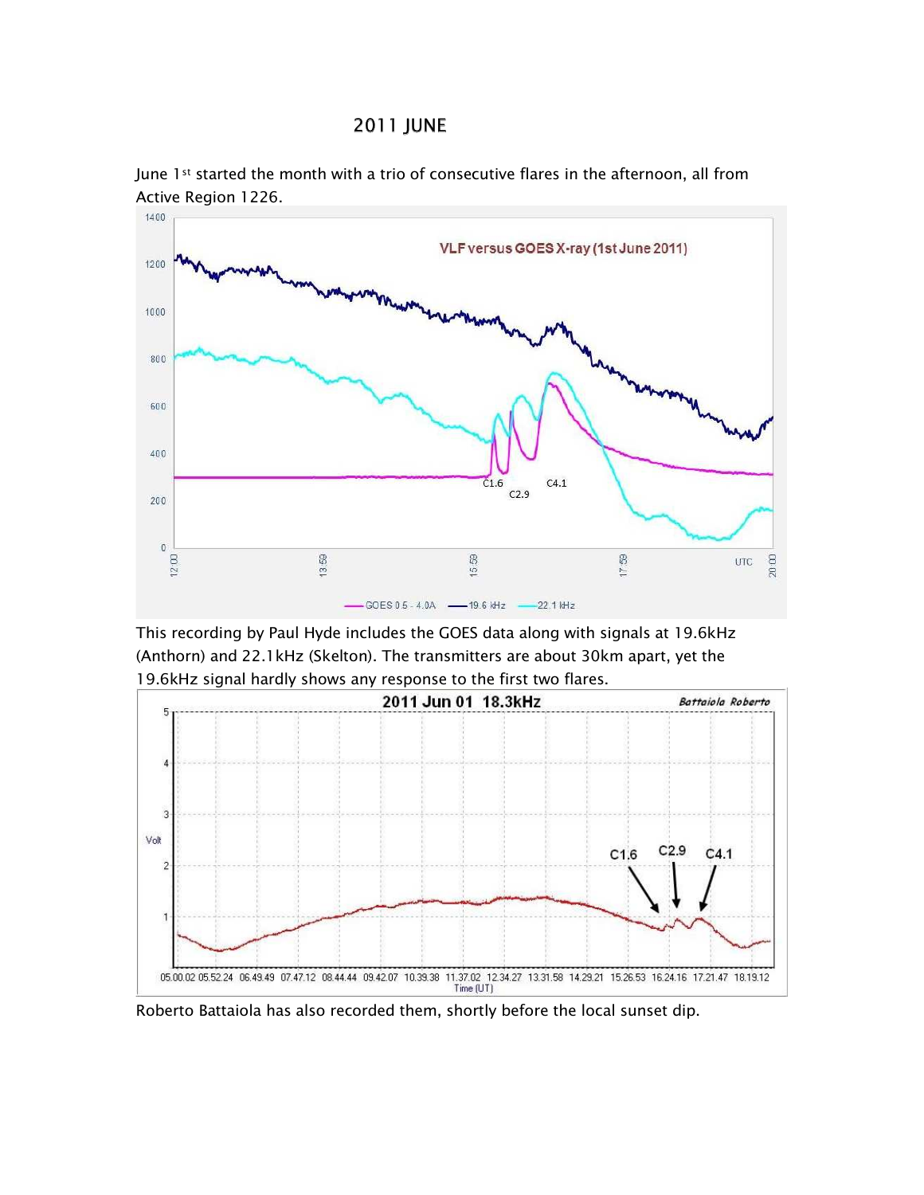## **2011 JUNE**



June 1st started the month with a trio of consecutive flares in the afternoon, all from Active Region 1226.

This recording by Paul Hyde includes the GOES data along with signals at 19.6kHz (Anthorn) and 22.1 kHz (Skelton). The transmitters are about 30km apart, yet the 19.6kHz signal hardly shows any response to the first two flares.



Roberto Battaiola has also recorded them, shortly before the local sunset dip.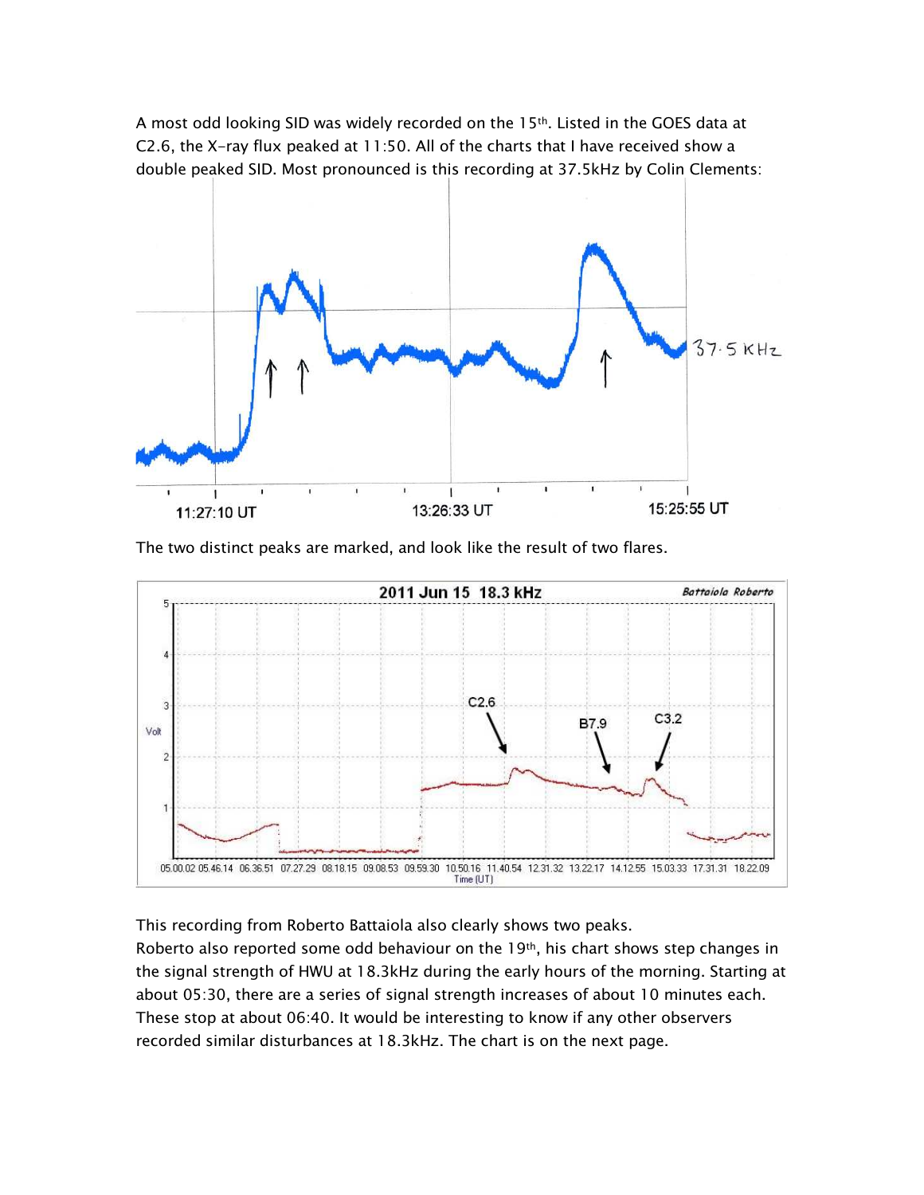A most odd looking SID was widely recorded on the 15th. Listed in the GOES data at C2.6, the X-ray flux peaked at 11:50. All of the charts that I have received show a double peaked SID. Most pronounced is this recording at 37.5kHz by Colin Clements:



The two distinct peaks are marked, and look like the result of two flares.



This recording from Roberto Battaiola also clearly shows two peaks.

Roberto also reported some odd behaviour on the 19th, his chart shows step changes in the signal strength of HWU at 18.3kHz during the early hours of the morning. Starting at about 05:30, there are a series of signal strength increases of about 10 minutes each. These stop at about 06:40. It would be interesting to know if any other observers recorded similar disturbances at 18.3kHz. The chart is on the next page.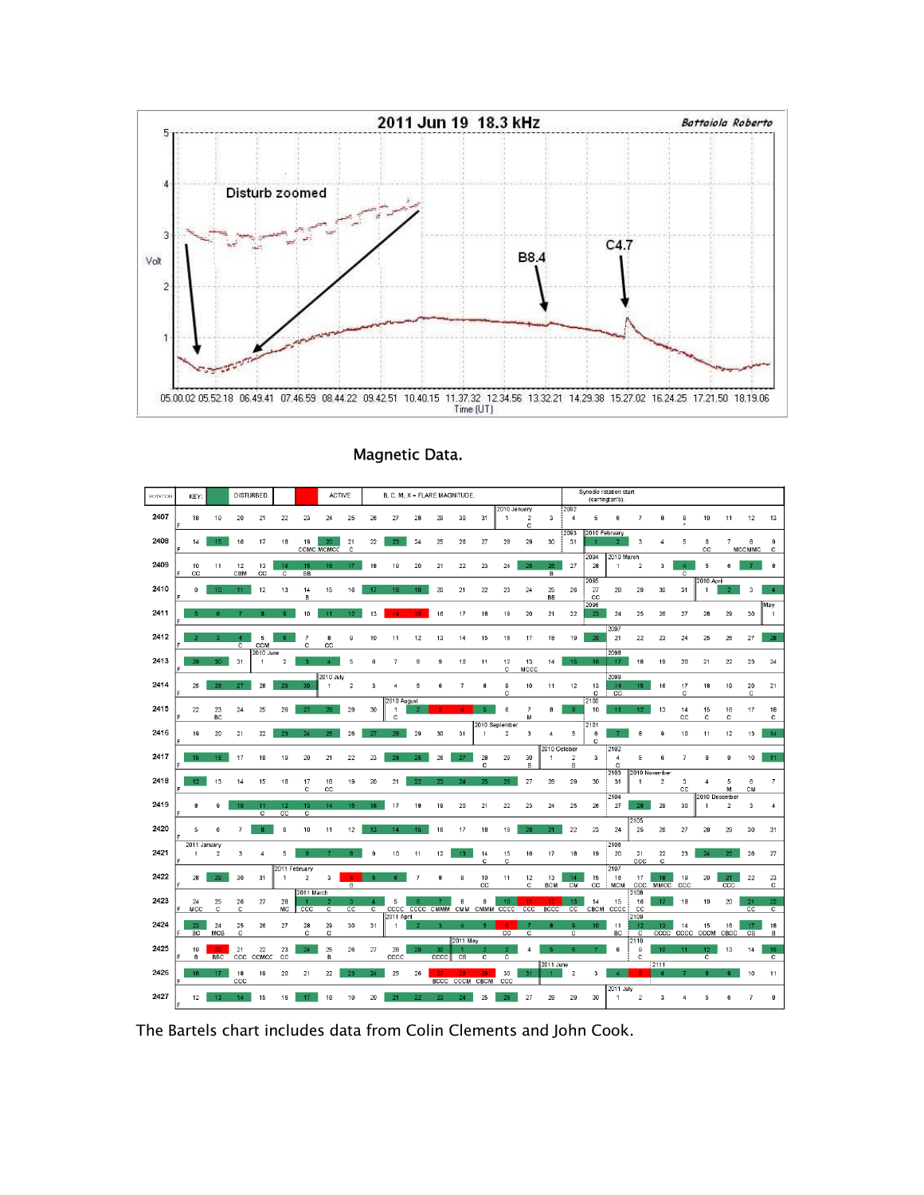

| ROTATION | KEY:                 |                  | DISTURBED.                       |                      |                         |                               | <b>ACTIVE</b>           |                     |                                    |                       | B, C, M, X = FLARE MAGNITUDE. |            |                             |                |                                  |                     |                   |                        | Synodic rotation start<br>(carrington's) |                             |                    |                   |                       |                                    |                |                    |                      |
|----------|----------------------|------------------|----------------------------------|----------------------|-------------------------|-------------------------------|-------------------------|---------------------|------------------------------------|-----------------------|-------------------------------|------------|-----------------------------|----------------|----------------------------------|---------------------|-------------------|------------------------|------------------------------------------|-----------------------------|--------------------|-------------------|-----------------------|------------------------------------|----------------|--------------------|----------------------|
| 2407     | 18                   | 19               | 20                               | 21                   | 22                      | 23                            | 24                      | 25                  | 26                                 | 27                    | 28                            | 29         | 30                          | 31             | 2010 January<br>-1               | $\overline{2}$<br>с | 3                 | 2092<br>$\overline{4}$ | 5                                        | 6                           |                    | 8                 | $\mathbf{9}$          | 10                                 | 11             | 12                 | 13                   |
| 2408     | 14                   | 15 <sub>1</sub>  | 16                               | 17                   | 18                      | 19                            | 20<br><b>CCMC MCMCC</b> | 21<br>c             | 22                                 | 23                    | 24                            | 25         | 26                          | 27             | 28                               | 29                  | 30                | 2093<br>31             | 2010 February                            |                             | 3                  | 4                 | 5                     | 6<br>CC                            | $\overline{7}$ | 8<br><b>MCCMMC</b> | 9<br>с               |
| 2409     | 10<br>cc             | 11               | 12<br>CBM                        | 13<br>cc             | 14<br>c                 | 15 <sub>15</sub><br><b>BB</b> | 16                      | 17 <sup>2</sup>     | 18                                 | 19                    | 20                            | 21         | 22                          | 23             | 24                               | 25                  | 26<br>B           | 27                     | 2094<br>28                               | 2010 March<br>1             | $\overline{2}$     | 3                 | $\boldsymbol{4}$<br>с | 5                                  | 6              |                    | 8                    |
| 2410     | 9                    | 10               | 11                               | 12                   | 13                      | 14<br>B                       | 15                      | 16                  | 17                                 | 18                    | 19                            | 20         | 21                          | 22             | 23                               | 24                  | 25<br><b>BB</b>   | 26                     | 2095<br>27<br>$_{\rm cc}$                | 28                          | 29                 | 30                | 31                    | 2010 April<br>1                    |                | 3                  | $\boldsymbol{A}$     |
| 2411     |                      |                  |                                  | R                    | $\mathbf{a}$            | 10                            | 11                      | 12 <sub>12</sub>    | 13                                 | 14                    | 15                            | 16         | 17                          | 18             | 19                               | 20                  | 21                | 22                     | 2096<br>23                               | 24                          | 25                 | 26                | 27                    | 28                                 | 29             | 30                 | May<br>1             |
| 2412     | $\overline{ }$       | ٩                | $\overline{4}$<br>$\overline{c}$ | 5<br>CCM             | ß.                      | 7<br>C                        | 8<br>CC                 | 9                   | 10                                 | 11                    | 12                            | 13         | 14                          | 15             | 16                               | 17                  | 18                | 19                     | 20                                       | 2097<br>21                  | 22                 | 23                | 24                    | 25                                 | 26             | 27                 | 28                   |
| 2413     | 29                   | 30 <sub>1</sub>  | 31                               | 2010 June<br>1       | $\overline{\mathbf{2}}$ | $\boldsymbol{\mathcal{R}}$    | $\boldsymbol{A}$        | 5                   | 6                                  | $\overline{7}$        | 8                             | 9          | 10                          | 11             | 12<br>c                          | 13<br>MCCC          | 14                | 15                     | 16                                       | 2098<br>17                  | 18                 | 19                | 20                    | 21                                 | 22             | 23                 | 24                   |
| 2414     | 25                   | 26               | 27                               | 28                   | 29                      | 30                            | 2010 July<br>1          | $\overline{2}$      | 3                                  | 4                     | 5                             | $\beta$    | 7                           | 8              | 9<br>c                           | 10                  | 11                | 12                     | 13<br>c                                  | 2099<br>14<br>cc            | 15                 | 16                | 17<br>c               | 18                                 | 19             | 20<br>C            | 21                   |
| 2415     | 22                   | 23<br><b>BC</b>  | 24                               | 25                   | 26                      | 27                            | 28                      | 29                  | 30                                 | 2010 August<br>1<br>Ċ |                               |            |                             |                | 6                                | $\overline{7}$<br>м | 8                 | g,                     | 2100<br>10                               | 11                          | 12 <sub>12</sub>   | 13                | 14<br>cc              | 15<br>c                            | 16<br>c        | 17                 | 18<br>c              |
| 2416     | 19                   | 20               | 21                               | 22                   | 23                      | 24                            | 25                      | 26                  | 27                                 | 28                    | 29                            | 30         | 31                          | 1              | 2010 September<br>$\overline{a}$ | 3                   | 4                 | 5                      | $\frac{1}{2101}$<br>$_{\rm 6}$<br>c      |                             | 8                  | 9                 | 10                    | 11                                 | 12             | 13                 | 14                   |
| 2417     | 15                   | 16 <sup>1</sup>  | 17                               | 18                   | 19                      | 20                            | 21                      | 22                  | 23                                 | 24                    | 25                            | 26         | 27                          | 28<br>c        | 29                               | 30<br>в             | 2010 October<br>1 | $\overline{2}$<br>в    | 3                                        | 2102<br>4<br>c              | 5                  | 6                 | 7                     | 8                                  | 9              | 10                 | 11                   |
| 2418     | 12 <sub>2</sub>      | 13               | 14                               | 15                   | 16                      | 17<br>c                       | 18<br>CC                | 19                  | 20                                 | 21                    | 22                            | 23         | 24                          | 25             | 26                               | 27                  | 28                | 29                     | 30                                       | 2103<br>31<br>12104         | 2010 November<br>1 | $\overline{2}$    | 3<br>$_{\rm cc}$      | 4<br>2010 December                 | 5<br>M         | 6<br>CM            | $\overline{7}$       |
| 2419     | 8                    | g                | 10                               | 11<br>$\overline{c}$ | 12<br>cc                | 13<br>$\overline{c}$          | 14                      | 15                  | 16                                 | 17                    | 18                            | 19         | 20                          | 21             | 22                               | 23                  | 24                | 25                     | 26                                       | 27                          | 28<br>2105         | 29                | 30                    | 1                                  | $\overline{2}$ | 3                  | $\boldsymbol{4}$     |
| 2420     | 5<br>2011 January    | 6                | $\overline{7}$                   | 8                    | 9                       | 10                            | 11                      | 12                  | 13                                 | 14                    | 15 <sub>1</sub>               | 16         | 17                          | 18             | 19                               | 20                  | 21                | 22                     | 23                                       | 24<br>2106                  | 25                 | 26                | 27                    | 28                                 | 29             | 30                 | 31                   |
| 2421     | 1                    | $\overline{2}$   | 3                                | 4                    | 5<br>2011 February      | $\ddot{\mathbf{6}}$           |                         | R                   | 9                                  | 10                    | 11                            | 12         | 13                          | 14<br>Ċ        | 15<br>с                          | 16                  | 17                | 18                     | 19                                       | 20<br>2107                  | 21<br>ccc          | 22<br>c           | 23                    | 24                                 | 25             | 26                 | 27                   |
| 2422     | 28                   | 29               | 30                               | 31                   | 1                       | $\mathbf 2$<br>2011 March     | $\overline{3}$          | $\overline{4}$<br>B | $\mathbf{r}_i$                     | R                     | $\overline{7}$                | 8          | 9                           | 10<br>CC       | 11                               | 12<br>с             | 13<br><b>BCM</b>  | 14<br>CM               | 15<br>$_{\rm cc}$                        | 16<br><b>MCM</b>            | 17<br>CCC<br>2108  | 18<br><b>MMCC</b> | 19<br>CCC             | 20                                 | 21<br>CCC      | 22                 | 23<br>с              |
| 2423     | 24<br>MCC            | 25<br>c          | 26<br>c                          | 27                   | 28<br>MC                | ccc                           | $\overline{c}$          | 3<br>cc             | $\boldsymbol{A}$<br>$\overline{c}$ | 5<br>2011 April       | 6<br>CCCC CCCC CMMM           |            | $\mathbf{a}$<br>CMM         | 9<br>CMMM CCCC | 10 <sub>10</sub>                 | ccc                 | 12<br><b>BCCC</b> | 13 <sub>1</sub><br>cc  | 14<br>CBCM                               | 15<br>CCCC                  | 16<br>cc<br>2109   | 17 <sub>z</sub>   | 18                    | 19                                 | 20             | 21<br>cc           | 22<br>$\overline{c}$ |
| 2424     | 23<br>E<br><b>BC</b> | 24<br>MCB        | 25<br>с                          | 26                   | 27                      | 28<br>C                       | 29<br>c                 | 30                  | 31                                 | -1                    | -2                            | -3         | $\overline{4}$<br>2011 May  | 5              | -6<br>cc                         | c                   | R                 | 9<br>$\overline{c}$    | 10 <sub>1</sub>                          | 11<br>BC                    | 12<br>c<br>2110    | $13-13$<br>CCCC   | 14<br>CCCC            | 15<br>CCCM                         | 16<br>CBCC     | 17<br>CB           | 18<br>В              |
| 2425     | 19<br>в              | חר<br><b>BBC</b> | 21<br>$_{\rm ccc}$               | 22<br>CCMCC          | 23<br>CC                | 24                            | 25<br>B                 | 26                  | 27                                 | 28<br>CCCC            | 29                            | 30<br>CCCC | CB                          | $\overline{c}$ | 3<br>$\overline{c}$              |                     | 2011 June         |                        |                                          | 8                           | 9<br>с             | 10<br>2111        | 11                    | 12 <sub>12</sub><br>$\overline{c}$ | 13             | 14                 | 15<br>$\overline{c}$ |
| 2426     | 16<br>F              | 17               | 18<br>ccc                        | 19                   | 20                      | 21                            | 22                      | 23                  | 24                                 | 25                    | 26                            | 27         | 28<br><b>BCCC CCCM CBCM</b> | 29             | 30<br>ccc                        | 31                  |                   | $\overline{2}$         | 3                                        | $\overline{4}$<br>2011 July |                    |                   |                       |                                    | g.             | 10                 | 11                   |
| 2427     | 12                   | 13               | 14                               | 15                   | 16                      | 17 <sup>2</sup>               | 18                      | 19                  | 20                                 | 21                    | 22                            | 23         | 24                          | 25             | 26                               | 27                  | 28                | 29                     | 30                                       | 1                           | $\overline{2}$     | 3                 | đ                     | 5                                  | 6              | $\overline{7}$     | 8                    |

Magnetic Data.

The Bartels chart includes data from Colin Clements and John Cook.